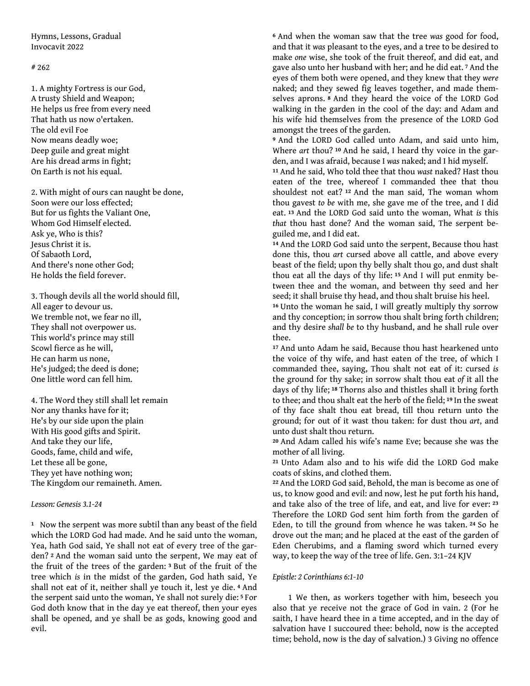Hymns, Lessons, Gradual Invocavit 2022

### # 262

1. A mighty Fortress is our God, A trusty Shield and Weapon; He helps us free from every need That hath us now o'ertaken. The old evil Foe Now means deadly woe; Deep guile and great might Are his dread arms in fight; On Earth is not his equal.

2. With might of ours can naught be done, Soon were our loss effected; But for us fights the Valiant One, Whom God Himself elected. Ask ye, Who is this? Jesus Christ it is. Of Sabaoth Lord, And there's none other God; He holds the field forever.

3. Though devils all the world should fill, All eager to devour us. We tremble not, we fear no ill, They shall not overpower us. This world's prince may still Scowl fierce as he will, He can harm us none, He's judged; the deed is done; One little word can fell him.

4. The Word they still shall let remain Nor any thanks have for it; He's by our side upon the plain With His good gifts and Spirit. And take they our life, Goods, fame, child and wife, Let these all be gone, They yet have nothing won; The Kingdom our remaineth. Amen.

### *Lesson: Genesis 3.1-24*

<sup>1</sup> Now the serpent was more subtil than any beast of the field which the LORD God had made. And he said unto the woman, Yea, hath God said, Ye shall not eat of every tree of the garden? **2** And the woman said unto the serpent, We may eat of the fruit of the trees of the garden: **3** But of the fruit of the tree which *is* in the midst of the garden, God hath said, Ye shall not eat of it, neither shall ye touch it, lest ye die. **4** And the serpent said unto the woman, Ye shall not surely die: **5** For God doth know that in the day ye eat thereof, then your eyes shall be opened, and ye shall be as gods, knowing good and evil.

**<sup>6</sup>**And when the woman saw that the tree *was* good for food, and that it *was* pleasant to the eyes, and a tree to be desired to make *one* wise, she took of the fruit thereof, and did eat, and gave also unto her husband with her; and he did eat. **7** And the eyes of them both were opened, and they knew that they *were* naked; and they sewed fig leaves together, and made themselves aprons. **8** And they heard the voice of the LORD God walking in the garden in the cool of the day: and Adam and his wife hid themselves from the presence of the LORD God amongst the trees of the garden.

**<sup>9</sup>**And the LORD God called unto Adam, and said unto him, Where *art* thou? **10** And he said, I heard thy voice in the garden, and I was afraid, because I *was* naked; and I hid myself.

**<sup>11</sup>**And he said, Who told thee that thou *wast* naked? Hast thou eaten of the tree, whereof I commanded thee that thou shouldest not eat? **12** And the man said, The woman whom thou gavest *to be* with me, she gave me of the tree, and I did eat. **13** And the LORD God said unto the woman, What *is* this *that* thou hast done? And the woman said, The serpent beguiled me, and I did eat.

**<sup>14</sup>**And the LORD God said unto the serpent, Because thou hast done this, thou *art* cursed above all cattle, and above every beast of the field; upon thy belly shalt thou go, and dust shalt thou eat all the days of thy life: **15** And I will put enmity between thee and the woman, and between thy seed and her seed; it shall bruise thy head, and thou shalt bruise his heel.

**<sup>16</sup>**Unto the woman he said, I will greatly multiply thy sorrow and thy conception; in sorrow thou shalt bring forth children; and thy desire *shall be* to thy husband, and he shall rule over thee.

**<sup>17</sup>**And unto Adam he said, Because thou hast hearkened unto the voice of thy wife, and hast eaten of the tree, of which I commanded thee, saying, Thou shalt not eat of it: cursed *is* the ground for thy sake; in sorrow shalt thou eat *of* it all the days of thy life; **18** Thorns also and thistles shall it bring forth to thee; and thou shalt eat the herb of the field; **19** In the sweat of thy face shalt thou eat bread, till thou return unto the ground; for out of it wast thou taken: for dust thou *art*, and unto dust shalt thou return.

**<sup>20</sup>**And Adam called his wife's name Eve; because she was the mother of all living.

**<sup>21</sup>**Unto Adam also and to his wife did the LORD God make coats of skins, and clothed them.

**<sup>22</sup>**And the LORD God said, Behold, the man is become as one of us, to know good and evil: and now, lest he put forth his hand, and take also of the tree of life, and eat, and live for ever:**<sup>23</sup>** Therefore the LORD God sent him forth from the garden of Eden, to till the ground from whence he was taken. **24** So he drove out the man; and he placed at the east of the garden of Eden Cherubims, and a flaming sword which turned every way, to keep the way of the tree of life. Gen. 3:1–24 KJV

# *Epistle: 2 Corinthians 6:1-10*

1 We then, as workers together with him, beseech you also that ye receive not the grace of God in vain. 2 (For he saith, I have heard thee in a time accepted, and in the day of salvation have I succoured thee: behold, now is the accepted time; behold, now is the day of salvation.) 3 Giving no offence